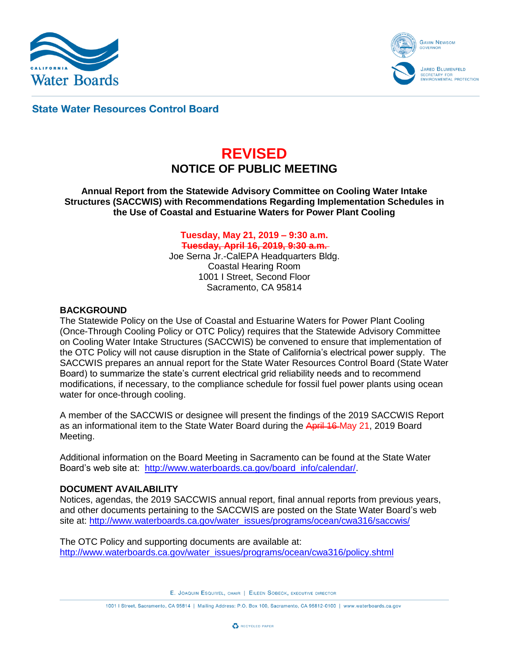



**State Water Resources Control Board** 

# **REVISED NOTICE OF PUBLIC MEETING**

**Annual Report from the Statewide Advisory Committee on Cooling Water Intake Structures (SACCWIS) with Recommendations Regarding Implementation Schedules in the Use of Coastal and Estuarine Waters for Power Plant Cooling**

> **Tuesday, May 21, 2019 – 9:30 a.m. Tuesday, April 16, 2019, 9:30 a.m.** Joe Serna Jr.-CalEPA Headquarters Bldg.

Coastal Hearing Room 1001 I Street, Second Floor Sacramento, CA 95814

## **BACKGROUND**

The Statewide Policy on the Use of Coastal and Estuarine Waters for Power Plant Cooling (Once-Through Cooling Policy or OTC Policy) requires that the Statewide Advisory Committee on Cooling Water Intake Structures (SACCWIS) be convened to ensure that implementation of the OTC Policy will not cause disruption in the State of California's electrical power supply. The SACCWIS prepares an annual report for the State Water Resources Control Board (State Water Board) to summarize the state's current electrical grid reliability needs and to recommend modifications, if necessary, to the compliance schedule for fossil fuel power plants using ocean water for once-through cooling.

A member of the SACCWIS or designee will present the findings of the 2019 SACCWIS Report as an informational item to the State Water Board during the April 16 May 21, 2019 Board Meeting.

Additional information on the Board Meeting in Sacramento can be found at the State Water Board's web site at: [http://www.waterboards.ca.gov/board\\_info/calendar/.](http://www.waterboards.ca.gov/board_info/calendar/)

## **DOCUMENT AVAILABILITY**

Notices, agendas, the 2019 SACCWIS annual report, final annual reports from previous years, and other documents pertaining to the SACCWIS are posted on the State Water Board's web site at: [http://www.waterboards.ca.gov/water\\_issues/programs/ocean/cwa316/saccwis/](http://www.waterboards.ca.gov/water_issues/programs/ocean/cwa316/saccwis/)

The OTC Policy and supporting documents are available at: [http://www.waterboards.ca.gov/water\\_issues/programs/ocean/cwa316/policy.shtml](http://www.waterboards.ca.gov/water_issues/programs/ocean/cwa316/policy.shtml)

E. JOAQUIN ESQUIVEL, CHAIR | EILEEN SOBECK, EXECUTIVE DIRECTOR